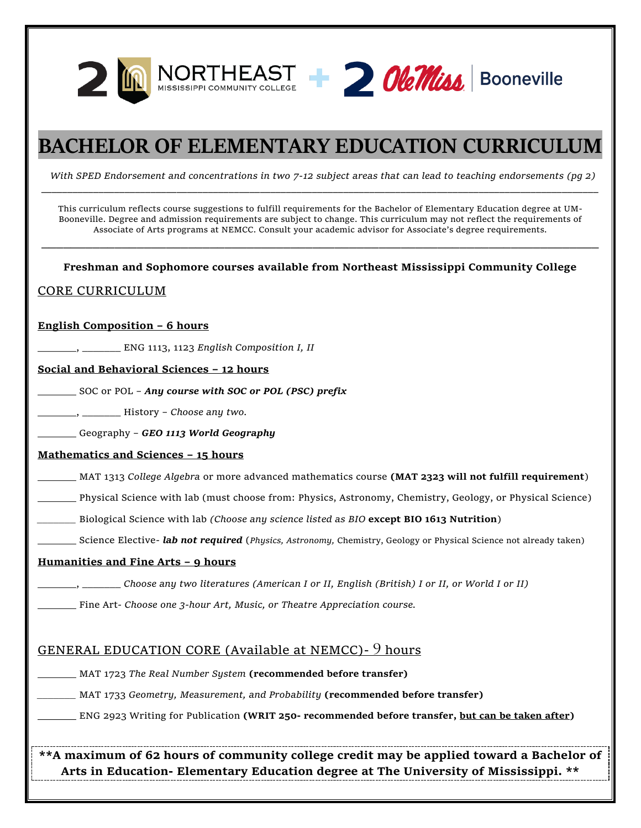



# **BACHELOR OF ELEMENTARY EDUCATION CURRICULUM**

*With SPED Endorsement and concentrations in two 7-12 subject areas that can lead to teaching endorsements (pg 2)* \_\_\_\_\_\_\_\_\_\_\_\_\_\_\_\_\_\_\_\_\_\_\_\_\_\_\_\_\_\_\_\_\_\_\_\_\_\_\_\_\_\_\_\_\_\_\_\_\_\_\_\_\_\_\_\_\_\_\_\_\_\_\_\_\_\_\_\_\_\_\_\_\_\_\_\_\_\_\_\_\_\_\_\_\_\_\_\_\_\_\_\_\_\_\_\_\_\_\_\_\_\_\_\_\_\_\_

This curriculum reflects course suggestions to fulfill requirements for the Bachelor of Elementary Education degree at UM-Booneville. Degree and admission requirements are subject to change. This curriculum may not reflect the requirements of Associate of Arts programs at NEMCC. Consult your academic advisor for Associate's degree requirements.

**Freshman and Sophomore courses available from Northeast Mississippi Community College**

\_\_\_\_\_\_\_\_\_\_\_\_\_\_\_\_\_\_\_\_\_\_\_\_\_\_\_\_\_\_\_\_\_\_\_\_\_\_\_\_\_\_\_\_\_\_\_\_\_\_\_\_\_\_\_\_\_\_\_\_\_\_\_\_\_\_\_\_\_\_\_\_\_\_\_\_

### CORE CURRICULUM

### **English Composition – 6 hours**

\_\_\_\_\_\_\_, \_\_\_\_\_\_\_ ENG 1113, 1123 *English Composition I, II*

### **Social and Behavioral Sciences – 12 hours**

\_\_\_\_\_\_\_ SOC or POL – *Any course with SOC or POL (PSC) prefix*

\_\_\_\_\_\_\_, \_\_\_\_\_\_\_ History – *Choose any two.*

\_\_\_\_\_\_\_ Geography – *GEO 1113 World Geography*

### **Mathematics and Sciences – 15 hours**

\_\_\_\_\_\_\_ MAT 1313 *College Algebra* or more advanced mathematics course **(MAT 2323 will not fulfill requirement**)

\_\_\_\_\_\_\_ Physical Science with lab (must choose from: Physics, Astronomy, Chemistry, Geology, or Physical Science)

*\_\_\_\_\_\_\_* Biological Science with lab *(Choose any science listed as BIO* **except BIO 1613 Nutrition**)

\_\_\_\_\_\_\_ Science Elective- *lab not required* (*Physics, Astronomy,* Chemistry, Geology or Physical Science not already taken)

### **Humanities and Fine Arts – 9 hours**

\_\_\_\_\_\_\_, \_\_\_\_\_\_\_ *Choose any two literatures (American I or II, English (British) I or II, or World I or II)*

\_\_\_\_\_\_\_ Fine Art*- Choose one 3-hour Art, Music, or Theatre Appreciation course.*

### GENERAL EDUCATION CORE (Available at NEMCC)- 9 hours

\_\_\_\_\_\_\_ MAT 1723 *The Real Number System* **(recommended before transfer)**

*\_\_\_\_\_\_\_* MAT 1733 *Geometry, Measurement, and Probability* **(recommended before transfer)**

**\_\_\_\_\_\_\_** ENG 2923 Writing for Publication **(WRIT 250- recommended before transfer, but can be taken after)**

**\*\*A maximum of 62 hours of community college credit may be applied toward a Bachelor of Arts in Education- Elementary Education degree at The University of Mississippi. \*\***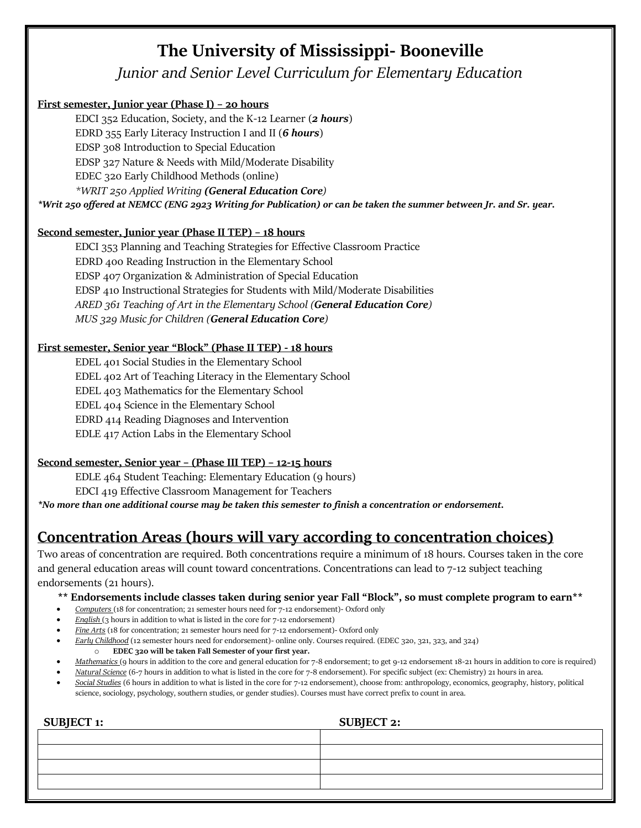# **The University of Mississippi- Booneville**

*Junior and Senior Level Curriculum for Elementary Education*

### **First semester, Junior year (Phase I) – 20 hours**

EDCI 352 Education, Society, and the K-12 Learner (*2 hours*) EDRD 355 Early Literacy Instruction I and II (*6 hours*) EDSP 308 Introduction to Special Education EDSP 327 Nature & Needs with Mild/Moderate Disability EDEC 320 Early Childhood Methods (online) *\*WRIT 250 Applied Writing (General Education Core)*

*\*Writ 250 offered at NEMCC (ENG 2923 Writing for Publication) or can be taken the summer between Jr. and Sr. year.*

### **Second semester, Junior year (Phase II TEP) – 18 hours**

EDCI 353 Planning and Teaching Strategies for Effective Classroom Practice EDRD 400 Reading Instruction in the Elementary School EDSP 407 Organization & Administration of Special Education EDSP 410 Instructional Strategies for Students with Mild/Moderate Disabilities *ARED 361 Teaching of Art in the Elementary School (General Education Core) MUS 329 Music for Children (General Education Core)*

### **First semester, Senior year "Block" (Phase II TEP) - 18 hours**

EDEL 401 Social Studies in the Elementary School EDEL 402 Art of Teaching Literacy in the Elementary School EDEL 403 Mathematics for the Elementary School EDEL 404 Science in the Elementary School EDRD 414 Reading Diagnoses and Intervention EDLE 417 Action Labs in the Elementary School

### **Second semester, Senior year – (Phase III TEP) – 12-15 hours**

EDLE 464 Student Teaching: Elementary Education (9 hours) EDCI 419 Effective Classroom Management for Teachers

*\*No more than one additional course may be taken this semester to finish a concentration or endorsement.* 

## **Concentration Areas (hours will vary according to concentration choices)**

Two areas of concentration are required. Both concentrations require a minimum of 18 hours. Courses taken in the core and general education areas will count toward concentrations. Concentrations can lead to 7-12 subject teaching endorsements (21 hours).

### **\*\* Endorsements include classes taken during senior year Fall "Block", so must complete program to earn\*\***

- *Computers* (18 for concentration; 21 semester hours need for 7-12 endorsement)- Oxford only
- *English* (3 hours in addition to what is listed in the core for 7-12 endorsement)
- *Fine Arts* (18 for concentration; 21 semester hours need for 7-12 endorsement)- Oxford only
- *Early Childhood* (12 semester hours need for endorsement)- online only. Courses required. (EDEC 320, 321, 323, and 324) o **EDEC 320 will be taken Fall Semester of your first year.**
- *Mathematics* (9 hours in addition to the core and general education for 7-8 endorsement; to get 9-12 endorsement 18-21 hours in addition to core is required)
- *Natural Science* (6-7 hours in addition to what is listed in the core for 7-8 endorsement). For specific subject (ex: Chemistry) 21 hours in area.
- *Social Studies* (6 hours in addition to what is listed in the core for 7-12 endorsement), choose from: anthropology, economics, geography, history, political science, sociology, psychology, southern studies, or gender studies). Courses must have correct prefix to count in area.

| SUBJECT 1: | <b>SUBJECT 2:</b> |
|------------|-------------------|
|            |                   |
|            |                   |
|            |                   |
|            |                   |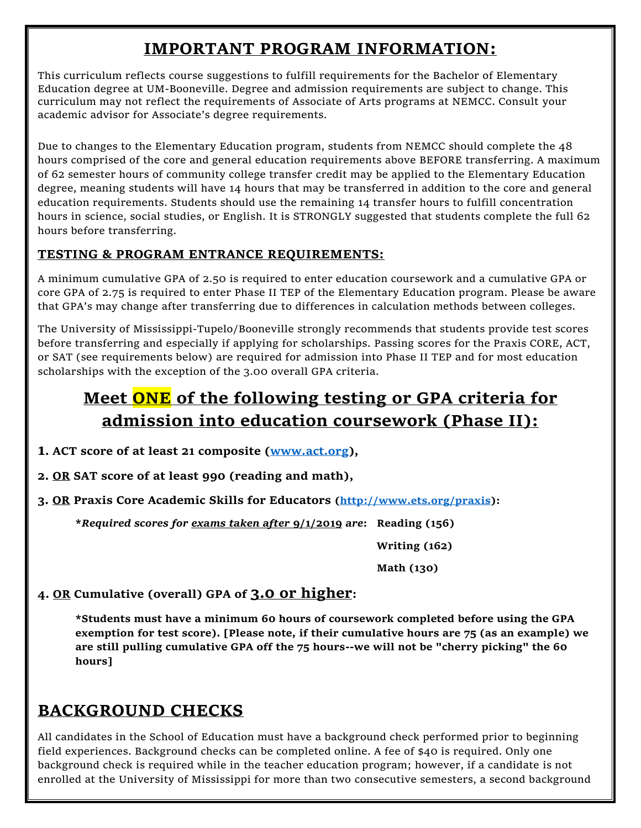# **IMPORTANT PROGRAM INFORMATION:**

This curriculum reflects course suggestions to fulfill requirements for the Bachelor of Elementary Education degree at UM-Booneville. Degree and admission requirements are subject to change. This curriculum may not reflect the requirements of Associate of Arts programs at NEMCC. Consult your academic advisor for Associate's degree requirements.

Due to changes to the Elementary Education program, students from NEMCC should complete the 48 hours comprised of the core and general education requirements above BEFORE transferring. A maximum of 62 semester hours of community college transfer credit may be applied to the Elementary Education degree, meaning students will have 14 hours that may be transferred in addition to the core and general education requirements. Students should use the remaining 14 transfer hours to fulfill concentration hours in science, social studies, or English. It is STRONGLY suggested that students complete the full 62 hours before transferring.

## **TESTING & PROGRAM ENTRANCE REQUIREMENTS:**

A minimum cumulative GPA of 2.50 is required to enter education coursework and a cumulative GPA or core GPA of 2.75 is required to enter Phase II TEP of the Elementary Education program. Please be aware that GPA's may change after transferring due to differences in calculation methods between colleges.

The University of Mississippi-Tupelo/Booneville strongly recommends that students provide test scores before transferring and especially if applying for scholarships. Passing scores for the Praxis CORE, ACT, or SAT (see requirements below) are required for admission into Phase II TEP and for most education scholarships with the exception of the 3.00 overall GPA criteria.

# **Meet ONE of the following testing or GPA criteria for admission into education coursework (Phase II):**

- **1. ACT score of at least 21 composite [\(www.act.org\)](http://www.act.org/),**
- **2. OR SAT score of at least 990 (reading and math),**

**3. OR Praxis Core Academic Skills for Educators [\(http://www.ets.org/praxis\)](http://www.ets.org/praxis):**

**\****Required scores for exams taken after* **9/1/2019** *are***: Reading (156)**

 **Writing (162)**

 **Math (130)**

## **4. OR Cumulative (overall) GPA of 3.0 or higher:**

**\*Students must have a minimum 60 hours of coursework completed before using the GPA exemption for test score). [Please note, if their cumulative hours are 75 (as an example) we are still pulling cumulative GPA off the 75 hours--we will not be "cherry picking" the 60 hours]**

# **BACKGROUND CHECKS**

All candidates in the School of Education must have a background check performed prior to beginning field experiences. Background checks can be completed online. A fee of \$40 is required. Only one background check is required while in the teacher education program; however, if a candidate is not enrolled at the University of Mississippi for more than two consecutive semesters, a second background